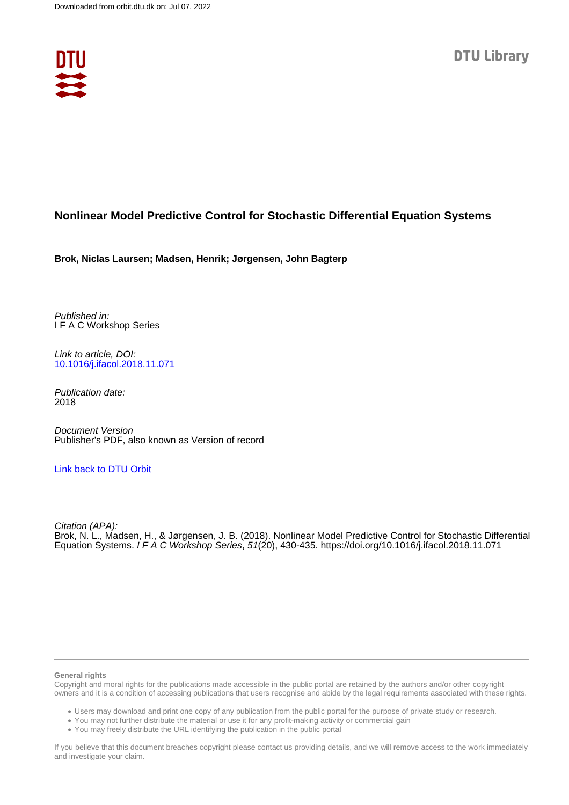

# **Nonlinear Model Predictive Control for Stochastic Differential Equation Systems**

**Brok, Niclas Laursen; Madsen, Henrik; Jørgensen, John Bagterp**

Published in: I F A C Workshop Series

Link to article, DOI: [10.1016/j.ifacol.2018.11.071](https://doi.org/10.1016/j.ifacol.2018.11.071)

Publication date: 2018

Document Version Publisher's PDF, also known as Version of record

# [Link back to DTU Orbit](https://orbit.dtu.dk/en/publications/f1e1af9e-ef53-4a1d-8af2-534fa8b5deef)

Citation (APA): Brok, N. L., Madsen, H., & Jørgensen, J. B. (2018). Nonlinear Model Predictive Control for Stochastic Differential Equation Systems. I F A C Workshop Series, 51(20), 430-435.<https://doi.org/10.1016/j.ifacol.2018.11.071>

#### **General rights**

Copyright and moral rights for the publications made accessible in the public portal are retained by the authors and/or other copyright owners and it is a condition of accessing publications that users recognise and abide by the legal requirements associated with these rights.

Users may download and print one copy of any publication from the public portal for the purpose of private study or research.

- You may not further distribute the material or use it for any profit-making activity or commercial gain
- You may freely distribute the URL identifying the publication in the public portal

If you believe that this document breaches copyright please contact us providing details, and we will remove access to the work immediately and investigate your claim.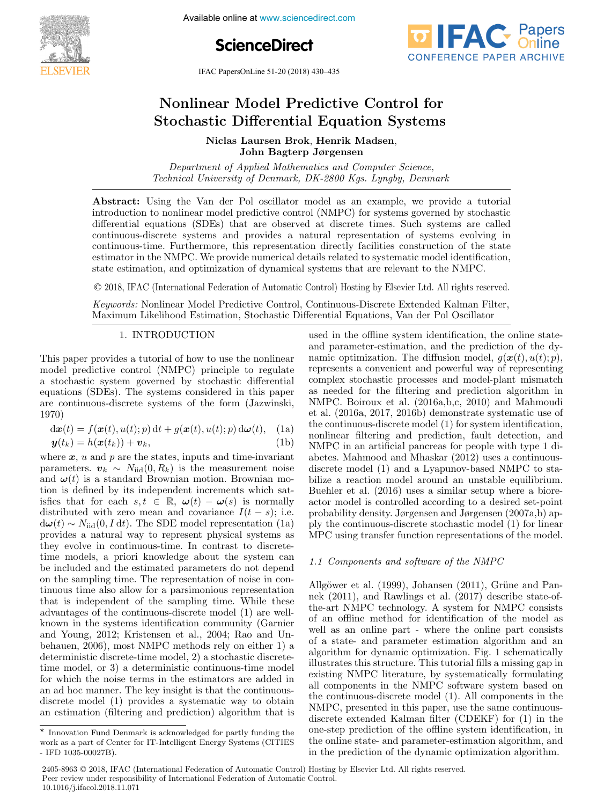

**6th IFAC Conference on IFAC Conference on IFAC Controlled Predictive Controlled Prediction** 





IFAC PapersOnLine 51-20 (2018) 430–435

#### Nonlinear Model Predictive Control for Nonlinear Model Predictive Control for Nonlinear Model Predictive Control for Stochastic Differential Equation Systems  $N<sub>1</sub>$  D<sub>increman D</sub> Nonlinear Model Predictive Control for Nonlinear Model Predictive Control for Stochastic Differential Equation Systems Stochastic Differential Equation Systems

 $N'$ l I Di $N$ l Madsen, Henrik Madsen, Henrik Madsen, Henrik Madsen, Henrik Madsen, Henrik Madsen, Henrik Madsen, Henrik Madsen, Henrik Madsen, Henrik Madsen, Henrik Madsen, Henrik Madsen, Henrik Madsen, Henrik Madsen, Hen Niclas Laursen Brok, Henrik Madsen, John Bagterp Jørgensen John Bagterp Jørgensen Niclas Laursen Brok, Henrik Madsen, Niclas Laursen Brok, Henrik Madsen,

Department of Applied Mathematics and Computer Science, Technical University of Denmark, DK-2800 Kgs. Lyngby, Denmark Department of Applied Mathematics and Computer Science, Technical University of Denmark, DK-2800 Kgs. Lyngby, Denmark Department of Applied Mathematics and Computer Science,<br>Technical University of Denmark, DK-2800 Kgs. Lyngby, Denmark  $T_{\text{C}}$  University of Denmark, DK-2800  $\mu$ 

**Abstract:** Using the Van del 1 of oscinator model as an example, we provide a tutorial<br>introduction to nonlinear model predictive control (NMPC) for systems governed by stochastic<br>differential equations (SDEs) that are ob differential equations (SDEs) that are observed at discrete times. Such systems are called continuous-discrete systems and provides a natural representation of systems are called continuous-discrete systems and provides a natural representation of systems evolving in continuous-time. Furthermore, this representation directly facilities construction of the state estimator in the NMPC. We provide numerical details related to systematic model identification,  $\epsilon_{\text{total}}$  at the NMPC. We provide numerical details related to systematic model in  $\epsilon_{\text{total}}$ estimator in the NMT C. We provide numerical details related to systematic model identification,<br>state estimation, and optimization of dynamical systems that are relevant to the NMPC. Abstract: Using the Van der Pol oscillator model as an example, we provide a tutorial state estimation, and optimization of dynamical systems that are relevant to the NMPC.  $T_{\text{eff}}$  University of Denmark, DK-2800  $\frac{1}{2}$ 800 Kgs. Lyngby, Denmark, Denmark, Denmark, Denmark, Denmark, Denmark, D

© 2018, IFAC (International Federation of Automatic Control) Hosting by Elsevier Ltd. All rights reserved. C 2010, If the microscopial Pederation of Haromano Control, Holomg by Externe East Him Hano Foot Foot  $\odot$  2018, IFAC (International Federation of Automatic Control) Hosting by Elsevier Ltd. All rights res estimator in the NMPC. We provide numerical details related to systematic model in the NMPC. The  $\alpha$ 

Keywords: Nonlinear Model Predictive Control, Continuous-Discrete Extended Kalman Filter, Maximum Likelihood Estimation, Stochastic Differential Equations, Van der Pol Oscillator  $\mathcal{L} = \{ \mathcal{L} \mid \mathcal{L} \neq \emptyset \}$ 

#### 1. INTRODUCTION 1. INTRODUCTION 1. INTRODUCTION 1. <del>INTRODUCTION</del>

This paper provides a tutorial of how to use the nonlinear model predictive control (NMPC) principle to regulate model predictive control (NMPC) principle to regulate equations (SDEs). The systems considered in this paper equations (SDEs). The systems considered in this paper<br>are continuous-discrete systems of the form (Jazwinski, 1970) 1970) are continuous-discrete systems of the form (Jazwinski, equations (SDEs). The systems considered in this paper<br>are continuous-discrete systems of the form (Jazwinski 1970) 1970) 1970) This paper provides a tutorial of how to use the nonlinear<br>model predictive control (NMPC) principle to regulate<br>a stochastic system governed by stochastic differential<br>equations (SDEs). The systems considered in this pape model predictive control (NMPC) principle to regulate are continuous-discrete systems of the form (Jazwinski,<br>1970)  $19(0)$ 

$$
d\boldsymbol{x}(t) = f(\boldsymbol{x}(t), u(t); p) dt + g(\boldsymbol{x}(t), u(t); p) d\boldsymbol{\omega}(t), \quad \text{(1a)}
$$
  

$$
\boldsymbol{y}(t_k) = h(\boldsymbol{x}(t_k)) + \boldsymbol{v}_k, \quad \text{(1b)}
$$

where  $x$ ,  $u$  and  $p$  are the states, inputs and time-invariant where  $\boldsymbol{x}$ ,  $u$  and  $p$  are the states, inputs and time-invariant<br>parameters.  $\boldsymbol{v}_k \sim N_{\text{iid}}(0, R_k)$  is the measurement noise parameters:  $v_k \rightarrow v_{\text{tid}}(v, v_k)$  is the measurement hose<br>and  $\omega(t)$  is a standard Brownian motion. Brownian mo-<br>tion is defined by its independent increments which sattion is defined by its independent increments which satisfies that for each  $s, t \in \mathbb{R}, \omega(t) - \omega(s)$  is normally isfies that for each  $s, t \in \mathbb{R}, \omega(t) - \omega(s)$  is normally distributed with zero mean and covariance  $I(t-s)$ ; i.e. dustributed with zero mean and covariance  $I(t - s)$ ; i.e.<br> $d\omega(t) \sim N_{\text{iid}}(0, I dt)$ . The SDE model representation (1a)  $\alpha$  (*v*)  $\alpha$   $n_{\text{tid}}(v, T, a_{\ell})$ . The SDE model representation (1*a*) provides a natural way to represent physical systems as they evolve in continuous-time. In contrast to discretetime models, a priori knowledge about the system can be included and the estimated parameters do not depend of the sampling time. The representation of noise in conon the sampling time. The representation of holse in continuous time also allow for a parsimonious representation<br>that is independent of the sampling time. While these<br>advantages of the continuous-discrete model (1) are welladvantages of the continuous-discrete model (1) are well $k$  hown in the systems identification community (Garnier) known in the systems identification community (Garnier<br>and Young, 2012; Kristensen et al., 2004; Rao and Unbehauen, 2006), most NMPC methods rely on either 1) a<br>deterministic discrete-time model, 2) a stochastic discrete- $\frac{1}{2}$  deterministic discrete-time model, 2) a stochastic discretetime model, or 3) a deterministic continuous-time model for which the noise terms in the estimators are added in an ad hoc manner. The key insight is that the continuousdiscrete model (1) provides a systematic way to obtain  $\alpha$  an estimation (filtering and prediction) algorithm that is  $y(x_k) = h(x(k_k)) + v_k$ , (1b)<br>where  $x$ , u and p are the states, inputs and time-invariant an estimation (filtering and prediction) algorithm that is  $\alpha$  is a systematic way to obtain an estimation (filtering and prediction) algorithm that is an estimation (nitering and prediction) algorithm that is  $d\omega(t) \sim N_{\text{iid}}(0, T \text{ d}t)$ . The SDE model representation (1a)<br>provides a natural way to represent physical systems as used in the offline system identification, the online state-used in the offline system identification, the online state-used in the offline system identification, the online stateand parameter-estimation, and the prediction of the dynamic optimization. The diffusion model,  $g(\mathbf{x}(t), u(t); p)$ , manne opinization. The dimaston model,  $g(\mathbf{z}(t), a(v), p)$ , represents a convenient and powerful way of representing complex stochastic processes and model-plant mismatch complex socialistic processes and model-plant mismatch<br>as needed for the filtering and prediction algorithm in<br>NMPC. Boiroux et al. (2016a,b,c, 2010) and Mahmoudi NMPC. Boiroux et al. (2016a,b,c, 2010) and Mahmoudi as needed for the filtering and prediction algorithm in as needed for the filtering and prediction algorithm in as needed for the filtering and prediction algorithm in et al. (2016a, 2017, 2016b) demonstrate systematic use of the continuous-discrete model (1) for system identification, nonlinear filtering and prediction, fault detection, and NMPC in an artificial pancreas for people with type 1 diabetes. Mahmood and Mhaskar (2012) uses a continuousdiscrete model (1) and a Lyapunov-based NMPC to stabilize a reaction model around an unstable equilibrium. Buehler et al. (2016) uses a similar setup where a bioreactor model is controlled according to a desired set-point actor model is controlled according to a desired set-point probability density. Jørgensen and Jørgensen  $(2007a,b)$  approbability definity. Subgetisely and Subgetisely (2007a, b) ap-<br>ply the continuous-discrete stochastic model (1) for linear<br>MPC using transfer function representations of the model. MPC using transfer function representations of the model. MPC using transfer function representations of the model.  $_{\rm pry}$  and continuous-discrete stochastic model  $_{\rm (1)}$  for linear<br>MPC using transfer function representations of the model complex stochastic processes and model-plant mismatched-plant mismatched-plant mismatched-plant mismatched-plant mismatched-plant mismatched-plant mismatched-plant mismatched-plant mismatched-plant mismatched-plant mismatc  $MPC$  using transfer function representations of the model.

# 1.1 Components and software of the NMPC 1.1 Components and software of the NMPC 1.1 Components and software of the NMPC 1.1 Components and software of the NMPC 1.1 Components and software of the NMPC

Allgöwer et al. (1999), Johansen (2011), Grüne and Pan $n_{\text{H}}(2011)$ , and Rawlings et al.  $(2017)$ , determined that  $n_{\text{int}}$  and  $n_{\text{int}}$  and  $n_{\text{int}}$ the-art NMPC technology. A system for NMPC consists of an offline method for identification of the model as well as an online part - where the online part consists of a state- and parameter estimation algorithm and an algorithm for dynamic optimization. Fig. 1 schematically illustrates this structure. This tutorial fills a missing gap in mastrates this structure. This tutorial line a missing gap in<br>existing NMPC literature, by systematically formulating existing NMP c increasure, by systematically formulating<br>all components in the NMPC software system based on the continuous-discrete model (1). All components in the NMPC, presented in this paper, use the same continuousdiscrete extended Kalman filter (CDEKF) for (1) in the  $\alpha$  one-step prediction of the offline system identification, in one supprediction of the office system intermedictor, and<br>the online state- and parameter-estimation algorithm, and in the prediction of the dynamic optimization algorithm. in the prediction of the dynamic optimization algorithm. well as an online part - where the online part consists<br>of a state- and parameter estimation algorithm and an<br>algorithm for dynamic optimization. Fig. 1 schematically<br>illustrates this structure. This tutorial fills a missi existing TRT C included, by systematically formulating<br>all components in the NMPC software system based on in the prediction of the dynamic optimization algorithm. 1.1 Components and software of the NMPC

 $\overline{\leftarrow}$  Innovation Fund Denmark is acknowledged for partly funding the Innovation Fund Denmark is acknowledged for partly funding the<br>work as a part of Center for IT-Intelligent Energy Systems (CITIES<br>ND 1025 ORD  $\frac{1}{2}$  - IFD 1035-00027B). - IFD 1035-00027B). work as a part of Center for IT-Intelligent Energy Systems (CITIES) - IFD 1035-00027B).

<sup>2405-8963 © 2018,</sup> IFAC (International Federation of Automatic Control) Hosting by Elsevier Ltd. All rights reserved. Peer review under responsibility of International Federation of Automatic Control.<br>
10.1016/ $i$  ifacel 2018.11.071 **10.1016/j.ifacol.2018.11.071 Copyright Control**<br> **Copyright Control**<br> **Copyright Control**<br> **Copyright Control**<br> **Copyright Control**<br> **Copyright Copyright Control**<br> **Copyright Copyright Copyright Copyright Copyright Copyright Copyright Copyright Copyr**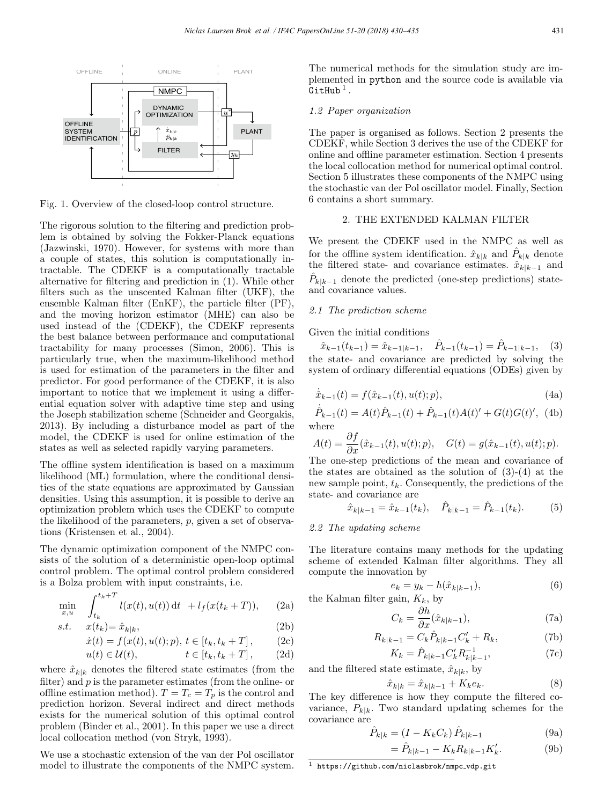

Fig. 1. Overview of the closed-loop control structure.

The rigorous solution to the filtering and prediction problem is obtained by solving the Fokker-Planck equations (Jazwinski, 1970). However, for systems with more than a couple of states, this solution is computationally intractable. The CDEKF is a computationally tractable alternative for filtering and prediction in (1). While other filters such as the unscented Kalman filter (UKF), the ensemble Kalman filter (EnKF), the particle filter (PF), and the moving horizon estimator (MHE) can also be used instead of the (CDEKF), the CDEKF represents the best balance between performance and computational tractability for many processes (Simon, 2006). This is particularly true, when the maximum-likelihood method is used for estimation of the parameters in the filter and predictor. For good performance of the CDEKF, it is also important to notice that we implement it using a differential equation solver with adaptive time step and using the Joseph stabilization scheme (Schneider and Georgakis, 2013). By including a disturbance model as part of the model, the CDEKF is used for online estimation of the states as well as selected rapidly varying parameters.

The offline system identification is based on a maximum likelihood (ML) formulation, where the conditional densities of the state equations are approximated by Gaussian densities. Using this assumption, it is possible to derive an optimization problem which uses the CDEKF to compute the likelihood of the parameters,  $p$ , given a set of observations (Kristensen et al., 2004).

The dynamic optimization component of the NMPC consists of the solution of a deterministic open-loop optimal control problem. The optimal control problem considered is a Bolza problem with input constraints, i.e.

$$
\min_{x,u} \quad \int_{t_k}^{t_k+T} l(x(t),u(t)) dt \ + l_f(x(t_k+T)), \qquad (2a)
$$

$$
s.t. \t x(t_k) = \hat{x}_{k|k}, \t (2b)
$$

$$
\dot{x}(t) = f(x(t), u(t); p), t \in [t_k, t_k + T], \quad (2c)
$$

$$
u(t) \in \mathcal{U}(t), \qquad t \in [t_k, t_k + T], \qquad (2d)
$$

where  $\hat{x}_{k|k}$  denotes the filtered state estimates (from the filter) and  $p$  is the parameter estimates (from the online- or offline estimation method).  $T = T_c = T_p$  is the control and prediction horizon. Several indirect and direct methods exists for the numerical solution of this optimal control problem (Binder et al., 2001). In this paper we use a direct local collocation method (von Stryk, 1993).

We use a stochastic extension of the van der Pol oscillator model to illustrate the components of the NMPC system. The numerical methods for the simulation study are implemented in python and the source code is available via  $G$ itHub<sup>1</sup>.

## 1.2 Paper organization

The paper is organised as follows. Section 2 presents the CDEKF, while Section 3 derives the use of the CDEKF for online and offline parameter estimation. Section 4 presents the local collocation method for numerical optimal control. Section 5 illustrates these components of the NMPC using the stochastic van der Pol oscillator model. Finally, Section 6 contains a short summary.

## 2. THE EXTENDED KALMAN FILTER

We present the CDEKF used in the NMPC as well as for the offline system identification.  $\hat{x}_{k|k}$  and  $\hat{P}_{k|k}$  denote the filtered state- and covariance estimates.  $\hat{x}_{k|k-1}$  and  $\hat{P}_{k|k-1}$  denote the predicted (one-step predictions) stateand covariance values.

# 2.1 The prediction scheme

Given the initial conditions

 $\hat{x}_{k-1}(t_{k-1}) = \hat{x}_{k-1|k-1}, \quad \hat{P}_{k-1}(t_{k-1}) = \hat{P}_{k-1|k-1}, \quad (3)$ the state- and covariance are predicted by solving the system of ordinary differential equations (ODEs) given by

$$
\dot{\hat{x}}_{k-1}(t) = f(\hat{x}_{k-1}(t), u(t); p),
$$
\n(4a)

 $\dot{\hat{P}}_{k-1}(t) = A(t)\hat{P}_{k-1}(t) + \hat{P}_{k-1}(t)A(t)' + G(t)G(t)'$ , (4b) where

$$
A(t) = \frac{\partial f}{\partial x}(\hat{x}_{k-1}(t), u(t); p), \quad G(t) = g(\hat{x}_{k-1}(t), u(t); p).
$$

The one-step predictions of the mean and covariance of the states are obtained as the solution of (3)-(4) at the new sample point,  $t_k$ . Consequently, the predictions of the state- and covariance are

$$
\hat{x}_{k|k-1} = \hat{x}_{k-1}(t_k), \quad \hat{P}_{k|k-1} = \hat{P}_{k-1}(t_k). \tag{5}
$$

# 2.2 The updating scheme

The literature contains many methods for the updating scheme of extended Kalman filter algorithms. They all compute the innovation by

$$
e_k = y_k - h(\hat{x}_{k|k-1}),
$$
 (6)  
the Kalman filter gain,  $K_k$ , by

$$
C_k = \frac{\partial h}{\partial x}(\hat{x}_{k|k-1}),\tag{7a}
$$

$$
R_{k|k-1} = C_k \hat{P}_{k|k-1} C'_k + R_k, \tag{7b}
$$

$$
K_k = \hat{P}_{k|k-1} C'_k R_{k|k-1}^{-1},
$$
\n(7c)

and the filtered state estimate,  $\hat{x}_{k|k}$ , by

$$
\hat{x}_{k|k} = \hat{x}_{k|k-1} + K_k e_k.
$$
 (8)

The key difference is how they compute the filtered covariance,  $P_{k|k}$ . Two standard updating schemes for the covariance are

$$
\hat{P}_{k|k} = (I - K_k C_k) \hat{P}_{k|k-1}
$$
\n(9a)

$$
= \hat{P}_{k|k-1} - K_k R_{k|k-1} K'_k.
$$
 (9b)

 $1$ https://github.com/niclasbrok/nmpc\_vdp.git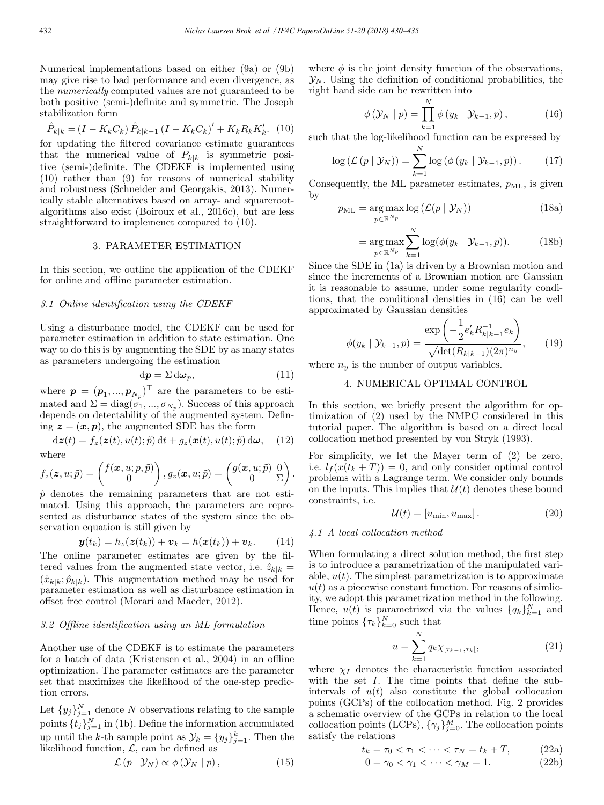Numerical implementations based on either (9a) or (9b) may give rise to bad performance and even divergence, as the numerically computed values are not guaranteed to be both positive (semi-)definite and symmetric. The Joseph stabilization form

$$
\hat{P}_{k|k} = (I - K_k C_k) \hat{P}_{k|k-1} (I - K_k C_k)' + K_k R_k K'_k.
$$
 (10)

for updating the filtered covariance estimate guarantees that the numerical value of  $P_{k|k}$  is symmetric positive (semi-)definite. The CDEKF is implemented using (10) rather than (9) for reasons of numerical stability and robustness (Schneider and Georgakis, 2013). Numerically stable alternatives based on array- and squarerootalgorithms also exist (Boiroux et al., 2016c), but are less straightforward to implemenet compared to (10).

# 3. PARAMETER ESTIMATION

In this section, we outline the application of the CDEKF for online and offline parameter estimation.

# 3.1 Online identification using the CDEKF

Using a disturbance model, the CDEKF can be used for parameter estimation in addition to state estimation. One way to do this is by augmenting the SDE by as many states as parameters undergoing the estimation

$$
\mathrm{d}\boldsymbol{p} = \Sigma \,\mathrm{d}\boldsymbol{\omega}_p,\tag{11}
$$

where  $\mathbf{p} = (\mathbf{p}_1, ..., \mathbf{p}_{N_p})^\top$  are the parameters to be estimated and  $\Sigma = diag(\sigma_1, ..., \sigma_{N_p})$ . Success of this approach depends on detectability of the augmented system. Defining  $z = (x, p)$ , the augmented SDE has the form

$$
d\boldsymbol{z}(t) = f_z(\boldsymbol{z}(t), u(t); \tilde{p}) dt + g_z(\boldsymbol{x}(t), u(t); \tilde{p}) d\boldsymbol{\omega}, \quad (12)
$$
  
where

$$
f_z(\mathbf{z}, u; \tilde{p}) = \begin{pmatrix} f(\mathbf{x}, u; p, \tilde{p}) \\ 0 \end{pmatrix}, g_z(\mathbf{x}, u; \tilde{p}) = \begin{pmatrix} g(\mathbf{x}, u; \tilde{p}) & 0 \\ 0 & \Sigma \end{pmatrix}
$$

 $\tilde{p}$  denotes the remaining parameters that are not estimated. Using this approach, the parameters are represented as disturbance states of the system since the observation equation is still given by

$$
\boldsymbol{y}(t_k) = h_z(\boldsymbol{z}(t_k)) + \boldsymbol{v}_k = h(\boldsymbol{x}(t_k)) + \boldsymbol{v}_k. \qquad (14)
$$

The online parameter estimates are given by the filtered values from the augmented state vector, i.e.  $\hat{z}_{k|k} =$  $(\hat{x}_{k|k}; \hat{p}_{k|k})$ . This augmentation method may be used for parameter estimation as well as disturbance estimation in offset free control (Morari and Maeder, 2012).

### 3.2 Offline identification using an ML formulation

Another use of the CDEKF is to estimate the parameters for a batch of data (Kristensen et al., 2004) in an offline optimization. The parameter estimates are the parameter set that maximizes the likelihood of the one-step prediction errors.

Let  $\{y_j\}_{j=1}^N$  denote N observations relating to the sample points  $\{t_j\}_{j=1}^N$  in (1b). Define the information accumulated up until the k-th sample point as  $\mathcal{Y}_k = \{y_j\}_{j=1}^k$ . Then the likelihood function,  $\mathcal{L}$ , can be defined as

$$
\mathcal{L}(p \mid \mathcal{Y}_N) \propto \phi(\mathcal{Y}_N \mid p), \tag{15}
$$

where  $\phi$  is the joint density function of the observations,  $\mathcal{Y}_N$ . Using the definition of conditional probabilities, the right hand side can be rewritten into

$$
\phi(\mathcal{Y}_N | p) = \prod_{k=1}^N \phi(y_k | \mathcal{Y}_{k-1}, p), \qquad (16)
$$

such that the log-likelihood function can be expressed by

$$
\log\left(\mathcal{L}\left(p\mid\mathcal{Y}_N\right)\right) = \sum_{k=1}^N \log\left(\phi\left(y_k\mid\mathcal{Y}_{k-1}, p\right)\right). \tag{17}
$$

Consequently, the ML parameter estimates,  $p_{ML}$ , is given by

$$
p_{\rm ML} = \underset{p \in \mathbb{R}^{N_p}}{\arg \max} \log \left( \mathcal{L}(p \mid \mathcal{Y}_N) \right) \tag{18a}
$$

$$
= \underset{p \in \mathbb{R}^{N_p}}{\arg \max} \sum_{k=1}^{N} \log(\phi(y_k \mid \mathcal{Y}_{k-1}, p)). \tag{18b}
$$

Since the SDE in (1a) is driven by a Brownian motion and since the increments of a Brownian motion are Gaussian it is reasonable to assume, under some regularity conditions, that the conditional densities in (16) can be well approximated by Gaussian densities

$$
\phi(y_k \mid \mathcal{Y}_{k-1}, p) = \frac{\exp\left(-\frac{1}{2}e'_k R_{k|k-1}^{-1} e_k\right)}{\sqrt{\det(R_{k|k-1})(2\pi)^{n_y}}},\qquad(19)
$$

where  $n_y$  is the number of output variables.

# 4. NUMERICAL OPTIMAL CONTROL

In this section, we briefly present the algorithm for optimization of (2) used by the NMPC considered in this tutorial paper. The algorithm is based on a direct local collocation method presented by von Stryk (1993).

For simplicity, we let the Mayer term of (2) be zero, i.e.  $l_f(x(t_k+T))=0$ , and only consider optimal control problems with a Lagrange term. We consider only bounds on the inputs. This implies that  $\mathcal{U}(t)$  denotes these bound constraints, i.e.

$$
\mathcal{U}(t) = [u_{\min}, u_{\max}]. \tag{20}
$$

### 4.1 A local collocation method

.

When formulating a direct solution method, the first step is to introduce a parametrization of the manipulated variable,  $u(t)$ . The simplest parametrization is to approximate  $u(t)$  as a piecewise constant function. For reasons of similaity, we adopt this parametrization method in the following. Hence,  $u(t)$  is parametrized via the values  $\{q_k\}_{k=1}^N$  and time points  $\{\tau_k\}_{k=0}^N$  such that

$$
u = \sum_{k=1}^{N} q_k \chi_{[\tau_{k-1}, \tau_k]}, \tag{21}
$$

where  $\chi_I$  denotes the characteristic function associated with the set I. The time points that define the subintervals of  $u(t)$  also constitute the global collocation points (GCPs) of the collocation method. Fig. 2 provides a schematic overview of the GCPs in relation to the local collocation points (LCPs),  $\{\gamma_j\}_{j=0}^M$ . The collocation points satisfy the relations

$$
t_k = \tau_0 < \tau_1 < \dots < \tau_N = t_k + T,\tag{22a}
$$

$$
0 = \gamma_0 < \gamma_1 < \dots < \gamma_M = 1. \tag{22b}
$$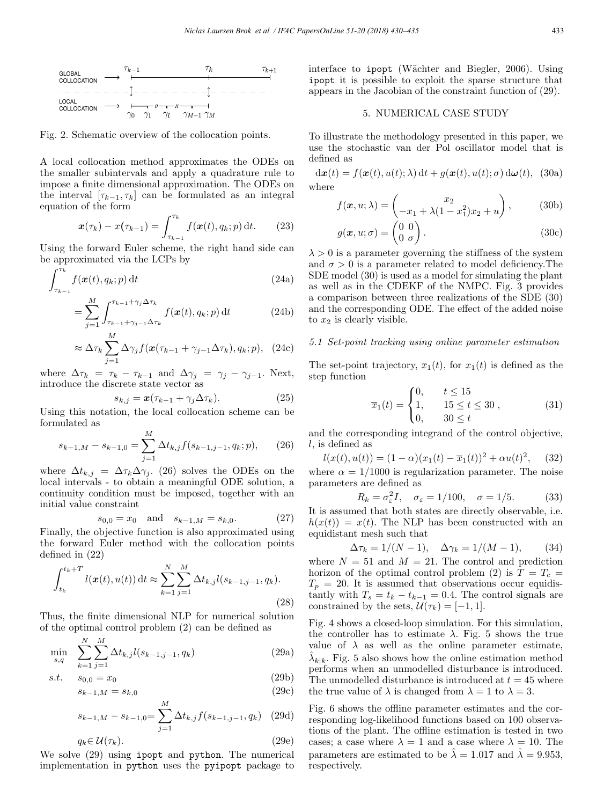

Fig. 2. Schematic overview of the collocation points.

A local collocation method approximates the ODEs on the smaller subintervals and apply a quadrature rule to impose a finite dimensional approximation. The ODEs on the interval  $[\tau_{k-1}, \tau_k]$  can be formulated as an integral equation of the form

$$
\boldsymbol{x}(\tau_k) - \boldsymbol{x}(\tau_{k-1}) = \int_{\tau_{k-1}}^{\tau_k} f(\boldsymbol{x}(t), q_k; p) dt. \qquad (23)
$$

Using the forward Euler scheme, the right hand side can be approximated via the LCPs by

$$
\int_{\tau_{k-1}}^{\tau_k} f(\boldsymbol{x}(t), q_k; p) dt
$$
\n(24a)

$$
= \sum_{j=1}^{M} \int_{\tau_{k-1} + \gamma_{j-1} \Delta \tau_k}^{\tau_{k-1} + \gamma_j \Delta \tau_k} f(\boldsymbol{x}(t), q_k; p) dt \qquad (24b)
$$

$$
\approx \Delta \tau_k \sum_{j=1}^{M} \Delta \gamma_j f(\mathbf{x}(\tau_{k-1} + \gamma_{j-1} \Delta \tau_k), q_k; p), \quad (24c)
$$

where  $\Delta \tau_k = \tau_k - \tau_{k-1}$  and  $\Delta \gamma_i = \gamma_i - \gamma_{i-1}$ . Next, introduce the discrete state vector as

$$
s_{k,j} = \boldsymbol{x}(\tau_{k-1} + \gamma_j \Delta \tau_k). \tag{25}
$$

Using this notation, the local collocation scheme can be formulated as  $\sim$ 

$$
s_{k-1,M} - s_{k-1,0} = \sum_{j=1}^{M} \Delta t_{k,j} f(s_{k-1,j-1}, q_k; p), \qquad (26)
$$

where  $\Delta t_{k,j} = \Delta \tau_k \Delta \gamma_j$ . (26) solves the ODEs on the local intervals - to obtain a meaningful ODE solution, a continuity condition must be imposed, together with an initial value constraint

$$
s_{0,0} = x_0
$$
 and  $s_{k-1,M} = s_{k,0}$ . (27)

Finally, the objective function is also approximated using the forward Euler method with the collocation points defined in (22)

$$
\int_{t_k}^{t_k+T} l(\boldsymbol{x}(t), u(t)) dt \approx \sum_{k=1}^{N} \sum_{j=1}^{M} \Delta t_{k,j} l(s_{k-1,j-1}, q_k).
$$
\n(28)

Thus, the finite dimensional NLP for numerical solution of the optimal control problem (2) can be defined as

$$
\min_{s,q} \sum_{k=1}^{N} \sum_{j=1}^{M} \Delta t_{k,j} l(s_{k-1,j-1}, q_k)
$$
\n(29a)

$$
s.t. \t s_{0,0} = x_0 \t (29b)
$$

$$
s_{k-1,M} = s_{k,0} \tag{29c}
$$

$$
s_{k-1,M} - s_{k-1,0} = \sum_{j=1}^{M} \Delta t_{k,j} f(s_{k-1,j-1}, q_k)
$$
 (29d)

$$
q_k \in \mathcal{U}(\tau_k). \tag{29e}
$$

We solve (29) using ipopt and python. The numerical implementation in python uses the pyipopt package to interface to ipopt (Wächter and Biegler, 2006). Using ipopt it is possible to exploit the sparse structure that appears in the Jacobian of the constraint function of (29).

# 5. NUMERICAL CASE STUDY

To illustrate the methodology presented in this paper, we use the stochastic van der Pol oscillator model that is defined as

 $d\boldsymbol{x}(t) = f(\boldsymbol{x}(t), u(t); \lambda) dt + g(\boldsymbol{x}(t), u(t); \sigma) d\boldsymbol{\omega}(t),$  (30a) where

$$
f(\mathbf{x}, u; \lambda) = \begin{pmatrix} x_2 \\ -x_1 + \lambda(1 - x_1^2)x_2 + u \end{pmatrix}, \quad (30b)
$$

$$
g(\mathbf{x}, u; \sigma) = \begin{pmatrix} 0 & 0 \\ 0 & \sigma \end{pmatrix}.
$$
 (30c)

 $\lambda > 0$  is a parameter governing the stiffness of the system and  $\sigma > 0$  is a parameter related to model deficiency. The SDE model (30) is used as a model for simulating the plant as well as in the CDEKF of the NMPC. Fig. 3 provides a comparison between three realizations of the SDE (30) and the corresponding ODE. The effect of the added noise to  $x_2$  is clearly visible.

# 5.1 Set-point tracking using online parameter estimation

The set-point trajectory,  $\overline{x}_1(t)$ , for  $x_1(t)$  is defined as the step function

$$
\overline{x}_1(t) = \begin{cases} 0, & t \le 15 \\ 1, & 15 \le t \le 30 \\ 0, & 30 \le t \end{cases}
$$
 (31)

and the corresponding integrand of the control objective,  $l$ , is defined as

$$
l(x(t), u(t)) = (1 - \alpha)(x_1(t) - \overline{x}_1(t))^2 + \alpha u(t)^2, \quad (32)
$$

where  $\alpha = 1/1000$  is regularization parameter. The noise parameters are defined as

$$
R_k = \sigma_\varepsilon^2 I, \quad \sigma_\varepsilon = 1/100, \quad \sigma = 1/5. \tag{33}
$$

It is assumed that both states are directly observable, i.e.  $h(x(t)) = x(t)$ . The NLP has been constructed with an equidistant mesh such that

$$
\Delta \tau_k = 1/(N-1), \quad \Delta \gamma_k = 1/(M-1),
$$
 (34)

where  $N = 51$  and  $M = 21$ . The control and prediction horizon of the optimal control problem (2) is  $T = T_c$  =  $T_p = 20$ . It is assumed that observations occur equidistantly with  $T_s = t_k - t_{k-1} = 0.4$ . The control signals are constrained by the sets,  $\mathcal{U}(\tau_k)=[-1, 1].$ 

Fig. 4 shows a closed-loop simulation. For this simulation, the controller has to estimate  $\lambda$ . Fig. 5 shows the true value of  $\lambda$  as well as the online parameter estimate,  $\lambda_{k|k}$ . Fig. 5 also shows how the online estimation method performs when an unmodelled disturbance is introduced. The unmodelled disturbance is introduced at  $t = 45$  where the true value of  $\lambda$  is changed from  $\lambda = 1$  to  $\lambda = 3$ .

Fig. 6 shows the offline parameter estimates and the corresponding log-likelihood functions based on 100 observations of the plant. The offline estimation is tested in two cases; a case where  $\lambda = 1$  and a case where  $\lambda = 10$ . The parameters are estimated to be  $\hat{\lambda} = 1.017$  and  $\hat{\lambda} = 9.953$ , respectively.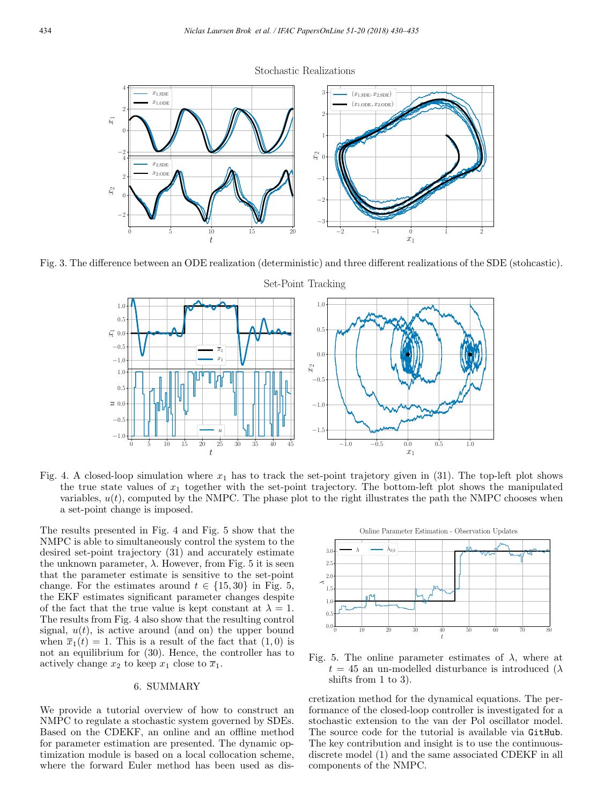Stochastic Realizations



Fig. 3. The difference between an ODE realization (deterministic) and three different realizations of the SDE (stohcastic).



Fig. 4. A closed-loop simulation where  $x_1$  has to track the set-point trajetory given in (31). The top-left plot shows the true state values of  $x_1$  together with the set-point trajectory. The bottom-left plot shows the manipulated variables,  $u(t)$ , computed by the NMPC. The phase plot to the right illustrates the path the NMPC chooses when a set-point change is imposed.

The results presented in Fig. 4 and Fig. 5 show that the NMPC is able to simultaneously control the system to the desired set-point trajectory (31) and accurately estimate the unknown parameter,  $\lambda$ . However, from Fig. 5 it is seen that the parameter estimate is sensitive to the set-point change. For the estimates around  $t \in \{15, 30\}$  in Fig. 5, the EKF estimates significant parameter changes despite of the fact that the true value is kept constant at  $\lambda = 1$ . The results from Fig. 4 also show that the resulting control signal,  $u(t)$ , is active around (and on) the upper bound when  $\overline{x}_1(t) = 1$ . This is a result of the fact that  $(1, 0)$  is not an equilibrium for (30). Hence, the controller has to actively change  $x_2$  to keep  $x_1$  close to  $\overline{x}_1$ .

# 6. SUMMARY

We provide a tutorial overview of how to construct an NMPC to regulate a stochastic system governed by SDEs. Based on the CDEKF, an online and an offline method for parameter estimation are presented. The dynamic optimization module is based on a local collocation scheme, where the forward Euler method has been used as dis-



Fig. 5. The online parameter estimates of  $\lambda$ , where at  $t = 45$  an un-modelled disturbance is introduced ( $\lambda$ ) shifts from 1 to 3).

cretization method for the dynamical equations. The performance of the closed-loop controller is investigated for a stochastic extension to the van der Pol oscillator model. The source code for the tutorial is available via GitHub. The key contribution and insight is to use the continuousdiscrete model (1) and the same associated CDEKF in all components of the NMPC.